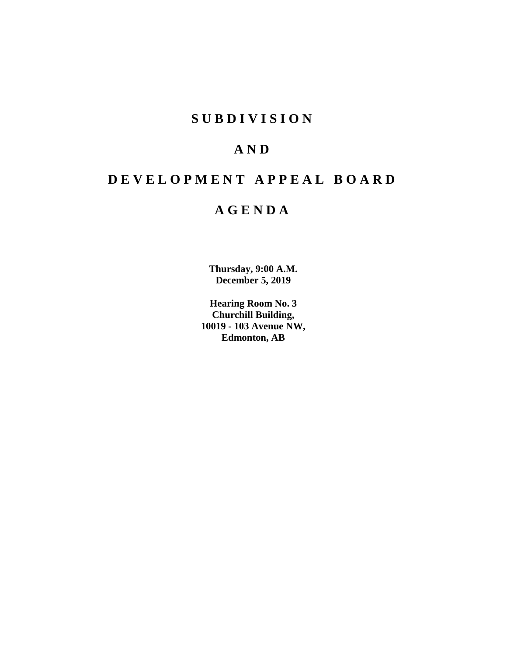## **S U B D I V I S I O N**

## **A N D**

# **D E V E L O P M E N T A P P E A L B O A R D**

## **A G E N D A**

**Thursday, 9:00 A.M. December 5, 2019**

**Hearing Room No. 3 Churchill Building, 10019 - 103 Avenue NW, Edmonton, AB**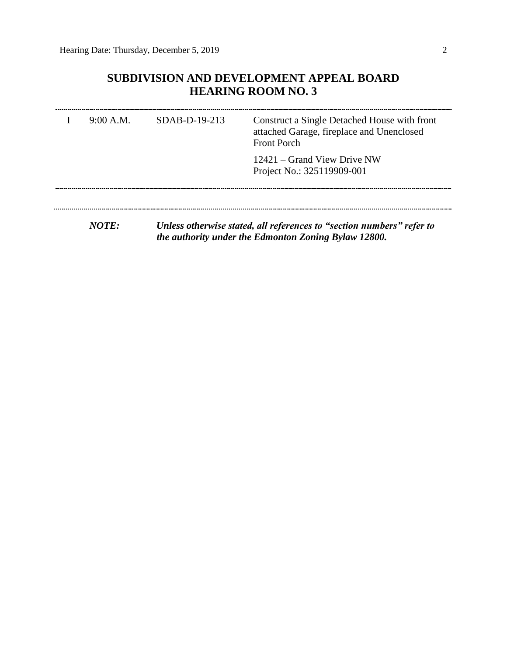## **SUBDIVISION AND DEVELOPMENT APPEAL BOARD HEARING ROOM NO. 3**

| 9:00 A.M.    | SDAB-D-19-213 | Construct a Single Detached House with front<br>attached Garage, fireplace and Unenclosed<br><b>Front Porch</b> |
|--------------|---------------|-----------------------------------------------------------------------------------------------------------------|
|              |               | 12421 – Grand View Drive NW<br>Project No.: 325119909-001                                                       |
|              |               |                                                                                                                 |
| <i>NOTE:</i> |               | Unless otherwise stated, all references to "section numbers" refer to                                           |

*the authority under the Edmonton Zoning Bylaw 12800.*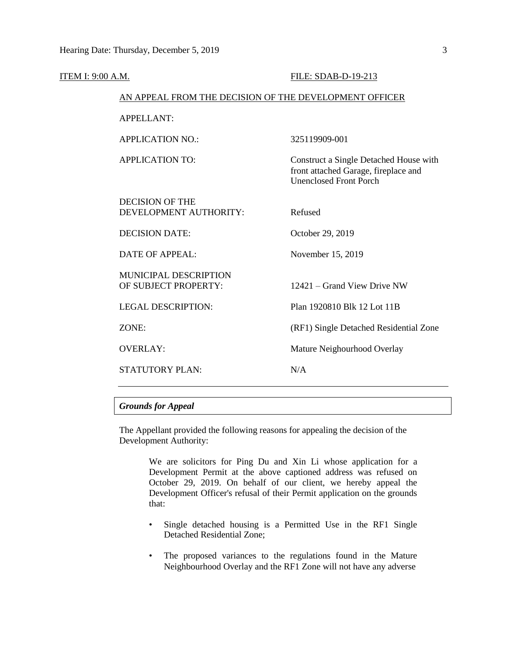| <b>ITEM I: 9:00 A.M.</b> |                                                        | FILE: SDAB-D-19-213                                                                                             |  |  |  |
|--------------------------|--------------------------------------------------------|-----------------------------------------------------------------------------------------------------------------|--|--|--|
|                          | AN APPEAL FROM THE DECISION OF THE DEVELOPMENT OFFICER |                                                                                                                 |  |  |  |
|                          | <b>APPELLANT:</b>                                      |                                                                                                                 |  |  |  |
|                          | <b>APPLICATION NO.:</b>                                | 325119909-001                                                                                                   |  |  |  |
|                          | <b>APPLICATION TO:</b>                                 | Construct a Single Detached House with<br>front attached Garage, fireplace and<br><b>Unenclosed Front Porch</b> |  |  |  |
|                          | <b>DECISION OF THE</b><br>DEVELOPMENT AUTHORITY:       | Refused                                                                                                         |  |  |  |
|                          | <b>DECISION DATE:</b>                                  | October 29, 2019                                                                                                |  |  |  |
|                          | <b>DATE OF APPEAL:</b>                                 | November 15, 2019                                                                                               |  |  |  |
|                          | MUNICIPAL DESCRIPTION<br>OF SUBJECT PROPERTY:          | 12421 – Grand View Drive NW                                                                                     |  |  |  |
|                          | <b>LEGAL DESCRIPTION:</b>                              | Plan 1920810 Blk 12 Lot 11B                                                                                     |  |  |  |
|                          | ZONE:                                                  | (RF1) Single Detached Residential Zone                                                                          |  |  |  |
|                          | <b>OVERLAY:</b>                                        | Mature Neighourhood Overlay                                                                                     |  |  |  |
|                          | <b>STATUTORY PLAN:</b>                                 | N/A                                                                                                             |  |  |  |
|                          |                                                        |                                                                                                                 |  |  |  |

### *Grounds for Appeal*

The Appellant provided the following reasons for appealing the decision of the Development Authority:

> We are solicitors for Ping Du and Xin Li whose application for a Development Permit at the above captioned address was refused on October 29, 2019. On behalf of our client, we hereby appeal the Development Officer's refusal of their Permit application on the grounds that:

- Single detached housing is a Permitted Use in the RF1 Single Detached Residential Zone;
- The proposed variances to the regulations found in the Mature Neighbourhood Overlay and the RF1 Zone will not have any adverse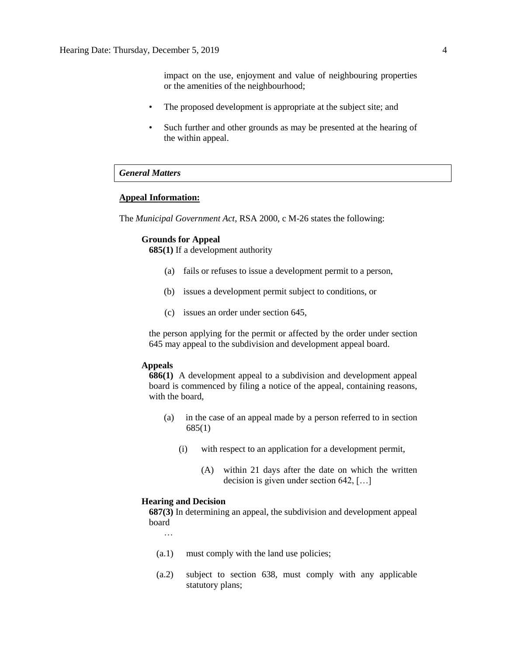impact on the use, enjoyment and value of neighbouring properties or the amenities of the neighbourhood;

- The proposed development is appropriate at the subject site; and
- Such further and other grounds as may be presented at the hearing of the within appeal.

### *General Matters*

#### **Appeal Information:**

The *Municipal Government Act*, RSA 2000, c M-26 states the following:

#### **Grounds for Appeal**

**685(1)** If a development authority

- (a) fails or refuses to issue a development permit to a person,
- (b) issues a development permit subject to conditions, or
- (c) issues an order under section 645,

the person applying for the permit or affected by the order under section 645 may appeal to the subdivision and development appeal board.

### **Appeals**

**686(1)** A development appeal to a subdivision and development appeal board is commenced by filing a notice of the appeal, containing reasons, with the board,

- (a) in the case of an appeal made by a person referred to in section 685(1)
	- (i) with respect to an application for a development permit,
		- (A) within 21 days after the date on which the written decision is given under section 642, […]

#### **Hearing and Decision**

**687(3)** In determining an appeal, the subdivision and development appeal board

…

- (a.1) must comply with the land use policies;
- (a.2) subject to section 638, must comply with any applicable statutory plans;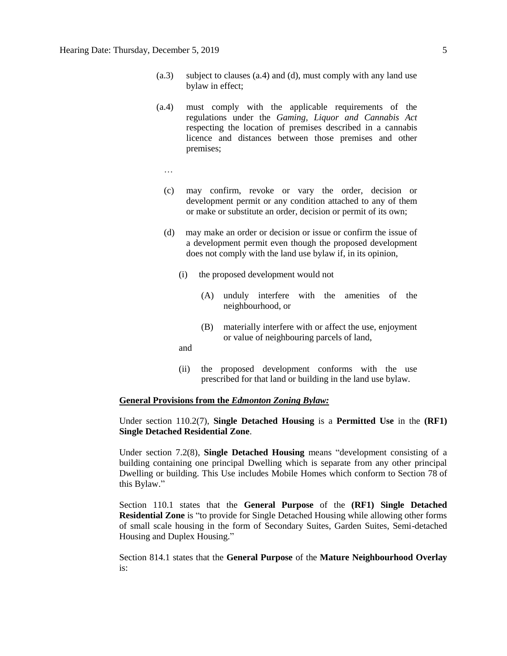- (a.3) subject to clauses (a.4) and (d), must comply with any land use bylaw in effect;
- (a.4) must comply with the applicable requirements of the regulations under the *Gaming, Liquor and Cannabis Act* respecting the location of premises described in a cannabis licence and distances between those premises and other premises;
	- …
	- (c) may confirm, revoke or vary the order, decision or development permit or any condition attached to any of them or make or substitute an order, decision or permit of its own;
	- (d) may make an order or decision or issue or confirm the issue of a development permit even though the proposed development does not comply with the land use bylaw if, in its opinion,
		- (i) the proposed development would not
			- (A) unduly interfere with the amenities of the neighbourhood, or
			- (B) materially interfere with or affect the use, enjoyment or value of neighbouring parcels of land,
		- and
		- (ii) the proposed development conforms with the use prescribed for that land or building in the land use bylaw.

#### **General Provisions from the** *Edmonton Zoning Bylaw:*

Under section 110.2(7), **Single Detached Housing** is a **Permitted Use** in the **(RF1) Single Detached Residential Zone**.

Under section 7.2(8), **Single Detached Housing** means "development consisting of a building containing one principal Dwelling which is separate from any other principal Dwelling or building. This Use includes Mobile Homes which conform to Section 78 of this Bylaw."

Section 110.1 states that the **General Purpose** of the **(RF1) Single Detached Residential Zone** is "to provide for Single Detached Housing while allowing other forms of small scale housing in the form of Secondary Suites, Garden Suites, Semi-detached Housing and Duplex Housing."

Section 814.1 states that the **General Purpose** of the **Mature Neighbourhood Overlay** is: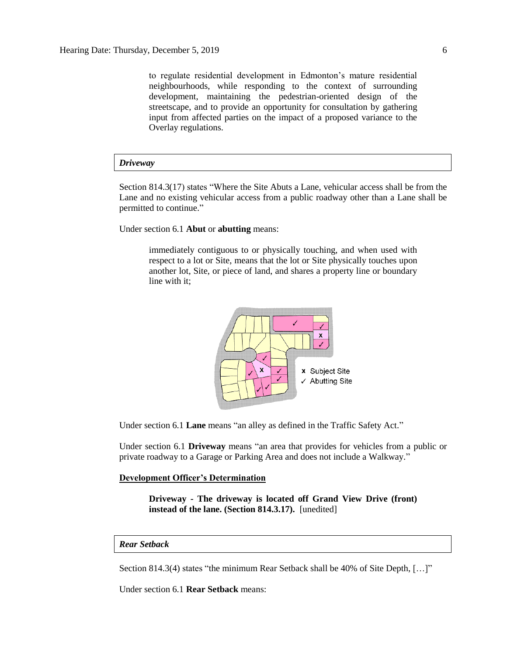to regulate residential development in Edmonton's mature residential neighbourhoods, while responding to the context of surrounding development, maintaining the pedestrian-oriented design of the streetscape, and to provide an opportunity for consultation by gathering input from affected parties on the impact of a proposed variance to the Overlay regulations.

#### *Driveway*

Section 814.3(17) states "Where the Site Abuts a Lane, vehicular access shall be from the Lane and no existing vehicular access from a public roadway other than a Lane shall be permitted to continue."

Under section 6.1 **Abut** or **abutting** means:

immediately contiguous to or physically touching, and when used with respect to a lot or Site, means that the lot or Site physically touches upon another lot, Site, or piece of land, and shares a property line or boundary line with it;



Under section 6.1 **Lane** means "an alley as defined in the Traffic Safety Act."

Under section 6.1 **Driveway** means "an area that provides for vehicles from a public or private roadway to a Garage or Parking Area and does not include a Walkway."

### **Development Officer's Determination**

**Driveway - The driveway is located off Grand View Drive (front) instead of the lane. (Section 814.3.17).** [unedited]

#### *Rear Setback*

Section 814.3(4) states "the minimum Rear Setback shall be 40% of Site Depth, […]"

Under section 6.1 **Rear Setback** means: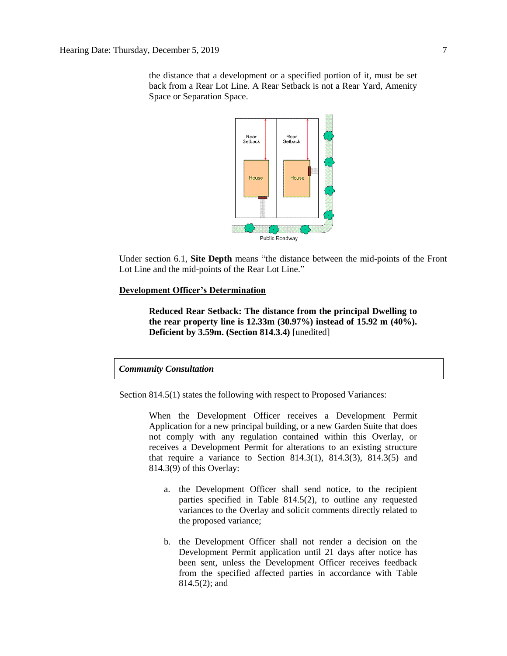the distance that a development or a specified portion of it, must be set back from a Rear Lot Line. A Rear Setback is not a Rear Yard, Amenity Space or Separation Space.



Under section 6.1, **Site Depth** means "the distance between the mid-points of the Front Lot Line and the mid-points of the Rear Lot Line."

### **Development Officer's Determination**

**Reduced Rear Setback: The distance from the principal Dwelling to the rear property line is 12.33m (30.97%) instead of 15.92 m (40%). Deficient by 3.59m. (Section 814.3.4)** [unedited]

#### *Community Consultation*

Section 814.5(1) states the following with respect to Proposed Variances:

When the Development Officer receives a Development Permit Application for a new principal building, or a new Garden Suite that does not comply with any regulation contained within this Overlay, or receives a Development Permit for alterations to an existing structure that require a variance to Section 814.3(1), 814.3(3), 814.3(5) and 814.3(9) of this Overlay:

- a. the Development Officer shall send notice, to the recipient parties specified in Table 814.5(2), to outline any requested variances to the Overlay and solicit comments directly related to the proposed variance;
- b. the Development Officer shall not render a decision on the Development Permit application until 21 days after notice has been sent, unless the Development Officer receives feedback from the specified affected parties in accordance with Table 814.5(2); and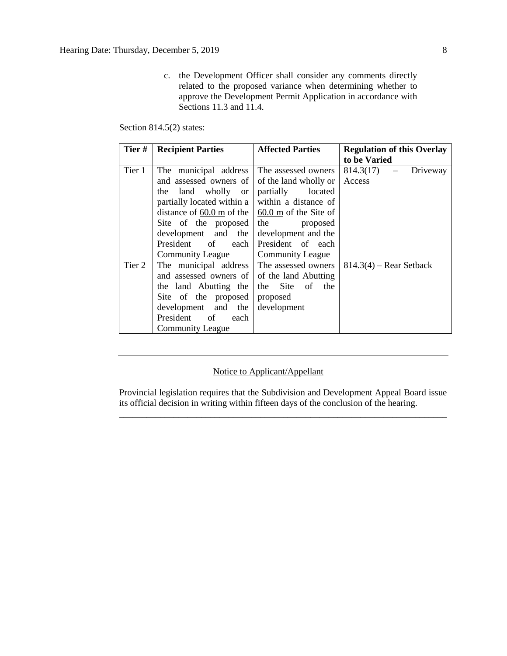c. the Development Officer shall consider any comments directly related to the proposed variance when determining whether to approve the Development Permit Application in accordance with Sections  $11.3$  and  $11.4$ .

Section 814.5(2) states:

| Tier#  | <b>Recipient Parties</b>                    | <b>Affected Parties</b>                    | <b>Regulation of this Overlay</b> |
|--------|---------------------------------------------|--------------------------------------------|-----------------------------------|
|        |                                             |                                            | to be Varied                      |
| Tier 1 | The municipal address                       | The assessed owners                        | $814.3(17)$ - Driveway            |
|        | and assessed owners of                      | of the land wholly or                      | Access                            |
|        | the land wholly or                          | partially<br>located                       |                                   |
|        | partially located within a                  | within a distance of                       |                                   |
|        | distance of $60.0 \text{ m}$ of the         | $\frac{60.0 \text{ m}}{20}$ of the Site of |                                   |
|        | Site of the proposed                        | the<br>proposed                            |                                   |
|        | development and the                         | development and the                        |                                   |
|        | President<br>of<br>each                     | President of each                          |                                   |
|        | <b>Community League</b>                     | <b>Community League</b>                    |                                   |
| Tier 2 | The municipal address The assessed owners   |                                            | $814.3(4)$ – Rear Setback         |
|        | and assessed owners of of the land Abutting |                                            |                                   |
|        | the land Abutting the                       | the Site of<br>the                         |                                   |
|        | Site of the proposed                        | proposed                                   |                                   |
|        | development and the                         | development                                |                                   |
|        | President of<br>each                        |                                            |                                   |
|        | <b>Community League</b>                     |                                            |                                   |

### Notice to Applicant/Appellant

Provincial legislation requires that the Subdivision and Development Appeal Board issue its official decision in writing within fifteen days of the conclusion of the hearing. \_\_\_\_\_\_\_\_\_\_\_\_\_\_\_\_\_\_\_\_\_\_\_\_\_\_\_\_\_\_\_\_\_\_\_\_\_\_\_\_\_\_\_\_\_\_\_\_\_\_\_\_\_\_\_\_\_\_\_\_\_\_\_\_\_\_\_\_\_\_\_\_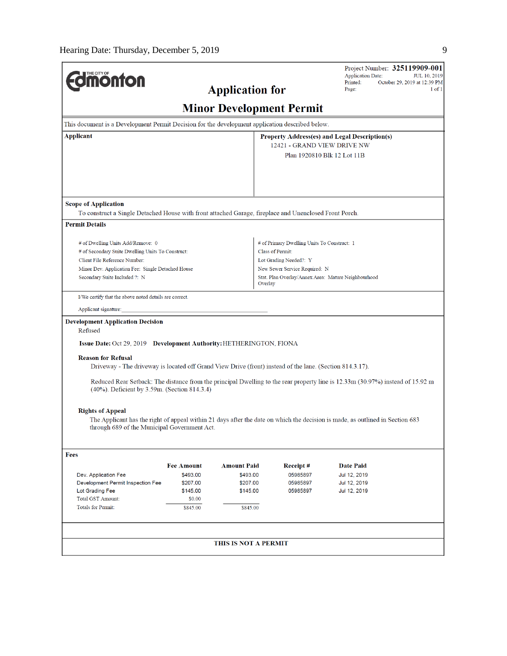$\overline{a}$ 

| <b>Umonton</b>                                                                                                                                                                                                                                                                                                          |                                                        | <b>Application for</b>                       |                                                                                                                                                                                   | Project Number: 325119909-001<br><b>Application Date:</b><br>Printed:<br>Page: | <b>JUL 10, 2019</b><br>October 29, 2019 at 12:39 PM<br>$1$ of $1$ |  |
|-------------------------------------------------------------------------------------------------------------------------------------------------------------------------------------------------------------------------------------------------------------------------------------------------------------------------|--------------------------------------------------------|----------------------------------------------|-----------------------------------------------------------------------------------------------------------------------------------------------------------------------------------|--------------------------------------------------------------------------------|-------------------------------------------------------------------|--|
|                                                                                                                                                                                                                                                                                                                         |                                                        | <b>Minor Development Permit</b>              |                                                                                                                                                                                   |                                                                                |                                                                   |  |
| This document is a Development Permit Decision for the development application described below.                                                                                                                                                                                                                         |                                                        |                                              |                                                                                                                                                                                   |                                                                                |                                                                   |  |
| <b>Applicant</b>                                                                                                                                                                                                                                                                                                        |                                                        |                                              | <b>Property Address(es) and Legal Description(s)</b><br>12421 - GRAND VIEW DRIVE NW<br>Plan 1920810 Blk 12 Lot 11B                                                                |                                                                                |                                                                   |  |
| <b>Scope of Application</b><br>To construct a Single Detached House with front attached Garage, fireplace and Unenclosed Front Porch.                                                                                                                                                                                   |                                                        |                                              |                                                                                                                                                                                   |                                                                                |                                                                   |  |
| <b>Permit Details</b>                                                                                                                                                                                                                                                                                                   |                                                        |                                              |                                                                                                                                                                                   |                                                                                |                                                                   |  |
| # of Dwelling Units Add/Remove: 0<br># of Secondary Suite Dwelling Units To Construct:<br>Client File Reference Number:<br>Minor Dev. Application Fee: Single Detached House<br>Secondary Suite Included ?: N                                                                                                           |                                                        | Overlay                                      | # of Primary Dwelling Units To Construct: 1<br>Class of Permit:<br>Lot Grading Needed?: Y<br>New Sewer Service Required: N<br>Stat. Plan Overlay/Annex Area: Mature Neighbourhood |                                                                                |                                                                   |  |
| I/We certify that the above noted details are correct.<br>Applicant signature:<br><b>Development Application Decision</b><br>Refused                                                                                                                                                                                    |                                                        |                                              |                                                                                                                                                                                   |                                                                                |                                                                   |  |
| Issue Date: Oct 29, 2019 Development Authority: HETHERINGTON, FIONA                                                                                                                                                                                                                                                     |                                                        |                                              |                                                                                                                                                                                   |                                                                                |                                                                   |  |
| <b>Reason for Refusal</b><br>Driveway - The driveway is located off Grand View Drive (front) instead of the lane. (Section 814.3.17).<br>Reduced Rear Setback: The distance from the principal Dwelling to the rear property line is 12.33m (30.97%) instead of 15.92 m<br>(40%). Deficient by 3.59m. (Section 814.3.4) |                                                        |                                              |                                                                                                                                                                                   |                                                                                |                                                                   |  |
| <b>Rights of Appeal</b><br>The Applicant has the right of appeal within 21 days after the date on which the decision is made, as outlined in Section 683<br>through 689 of the Municipal Government Act.                                                                                                                |                                                        |                                              |                                                                                                                                                                                   |                                                                                |                                                                   |  |
| <b>Fees</b>                                                                                                                                                                                                                                                                                                             |                                                        |                                              |                                                                                                                                                                                   |                                                                                |                                                                   |  |
|                                                                                                                                                                                                                                                                                                                         | <b>Fee Amount</b>                                      | <b>Amount Paid</b>                           | Receipt#                                                                                                                                                                          | <b>Date Paid</b>                                                               |                                                                   |  |
| Dev. Application Fee<br>Development Permit Inspection Fee<br>Lot Grading Fee<br><b>Total GST Amount:</b><br><b>Totals for Permit:</b>                                                                                                                                                                                   | \$493.00<br>\$207.00<br>\$145.00<br>\$0.00<br>\$845.00 | \$493.00<br>\$207.00<br>\$145.00<br>\$845.00 | 05985897<br>05985897<br>05985897                                                                                                                                                  | Jul 12, 2019<br>Jul 12, 2019<br>Jul 12, 2019                                   |                                                                   |  |
|                                                                                                                                                                                                                                                                                                                         |                                                        | THIS IS NOT A PERMIT                         |                                                                                                                                                                                   |                                                                                |                                                                   |  |